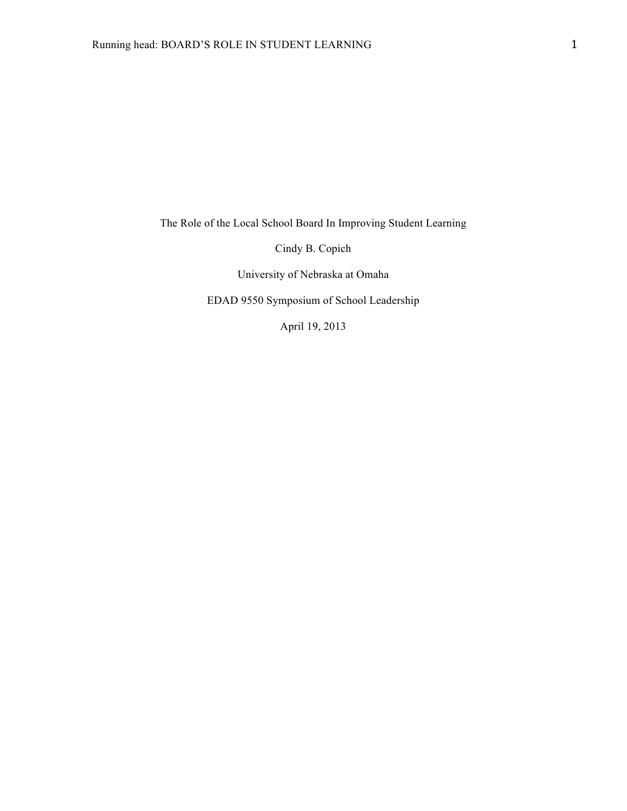The Role of the Local School Board In Improving Student Learning

Cindy B. Copich

University of Nebraska at Omaha

EDAD 9550 Symposium of School Leadership

April 19, 2013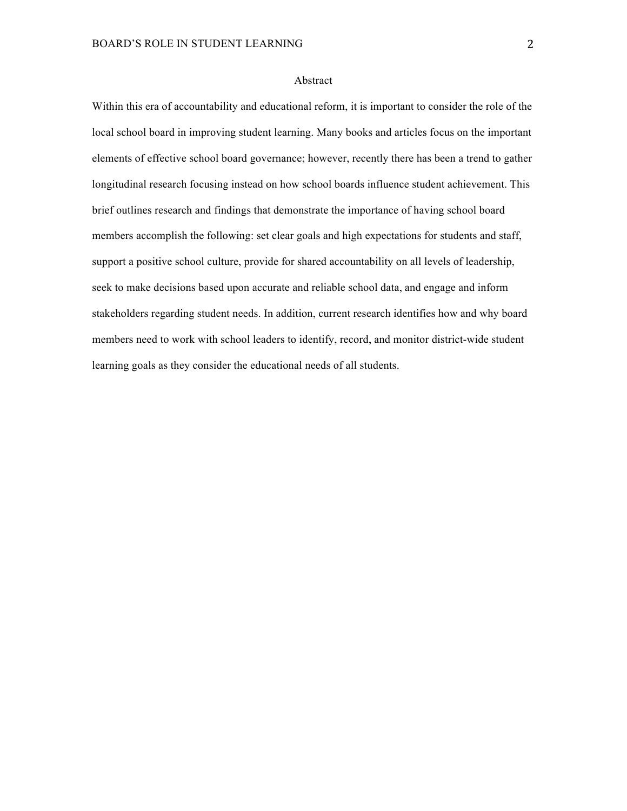# Abstract

Within this era of accountability and educational reform, it is important to consider the role of the local school board in improving student learning. Many books and articles focus on the important elements of effective school board governance; however, recently there has been a trend to gather longitudinal research focusing instead on how school boards influence student achievement. This brief outlines research and findings that demonstrate the importance of having school board members accomplish the following: set clear goals and high expectations for students and staff, support a positive school culture, provide for shared accountability on all levels of leadership, seek to make decisions based upon accurate and reliable school data, and engage and inform stakeholders regarding student needs. In addition, current research identifies how and why board members need to work with school leaders to identify, record, and monitor district-wide student learning goals as they consider the educational needs of all students.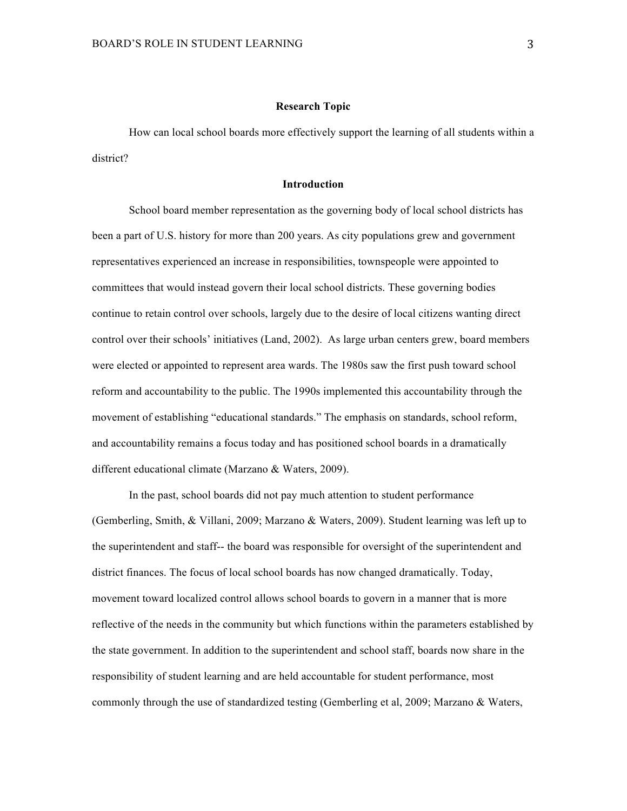### **Research Topic**

How can local school boards more effectively support the learning of all students within a district?

### **Introduction**

School board member representation as the governing body of local school districts has been a part of U.S. history for more than 200 years. As city populations grew and government representatives experienced an increase in responsibilities, townspeople were appointed to committees that would instead govern their local school districts. These governing bodies continue to retain control over schools, largely due to the desire of local citizens wanting direct control over their schools' initiatives (Land, 2002). As large urban centers grew, board members were elected or appointed to represent area wards. The 1980s saw the first push toward school reform and accountability to the public. The 1990s implemented this accountability through the movement of establishing "educational standards." The emphasis on standards, school reform, and accountability remains a focus today and has positioned school boards in a dramatically different educational climate (Marzano & Waters, 2009).

In the past, school boards did not pay much attention to student performance (Gemberling, Smith, & Villani, 2009; Marzano & Waters, 2009). Student learning was left up to the superintendent and staff-- the board was responsible for oversight of the superintendent and district finances. The focus of local school boards has now changed dramatically. Today, movement toward localized control allows school boards to govern in a manner that is more reflective of the needs in the community but which functions within the parameters established by the state government. In addition to the superintendent and school staff, boards now share in the responsibility of student learning and are held accountable for student performance, most commonly through the use of standardized testing (Gemberling et al, 2009; Marzano & Waters,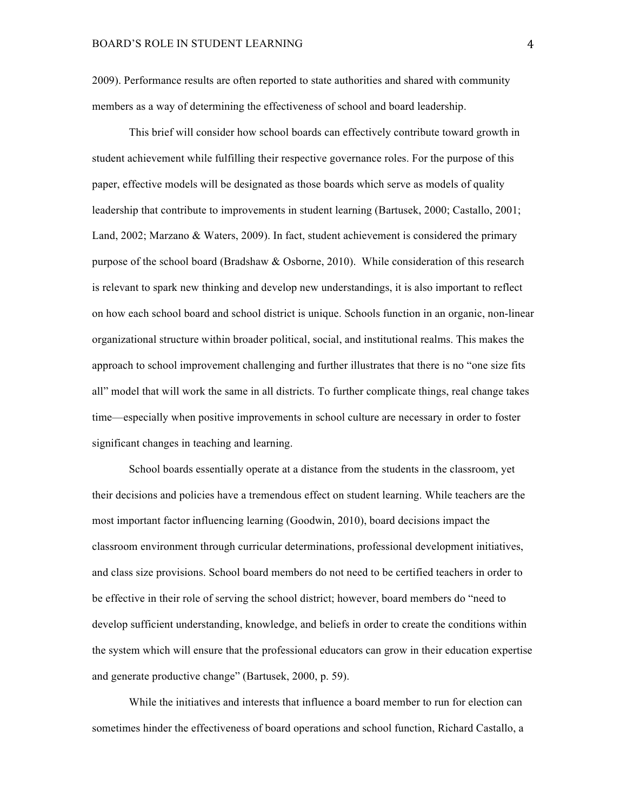2009). Performance results are often reported to state authorities and shared with community members as a way of determining the effectiveness of school and board leadership.

This brief will consider how school boards can effectively contribute toward growth in student achievement while fulfilling their respective governance roles. For the purpose of this paper, effective models will be designated as those boards which serve as models of quality leadership that contribute to improvements in student learning (Bartusek, 2000; Castallo, 2001; Land, 2002; Marzano & Waters, 2009). In fact, student achievement is considered the primary purpose of the school board (Bradshaw & Osborne, 2010). While consideration of this research is relevant to spark new thinking and develop new understandings, it is also important to reflect on how each school board and school district is unique. Schools function in an organic, non-linear organizational structure within broader political, social, and institutional realms. This makes the approach to school improvement challenging and further illustrates that there is no "one size fits all" model that will work the same in all districts. To further complicate things, real change takes time—especially when positive improvements in school culture are necessary in order to foster significant changes in teaching and learning.

School boards essentially operate at a distance from the students in the classroom, yet their decisions and policies have a tremendous effect on student learning. While teachers are the most important factor influencing learning (Goodwin, 2010), board decisions impact the classroom environment through curricular determinations, professional development initiatives, and class size provisions. School board members do not need to be certified teachers in order to be effective in their role of serving the school district; however, board members do "need to develop sufficient understanding, knowledge, and beliefs in order to create the conditions within the system which will ensure that the professional educators can grow in their education expertise and generate productive change" (Bartusek, 2000, p. 59).

While the initiatives and interests that influence a board member to run for election can sometimes hinder the effectiveness of board operations and school function, Richard Castallo, a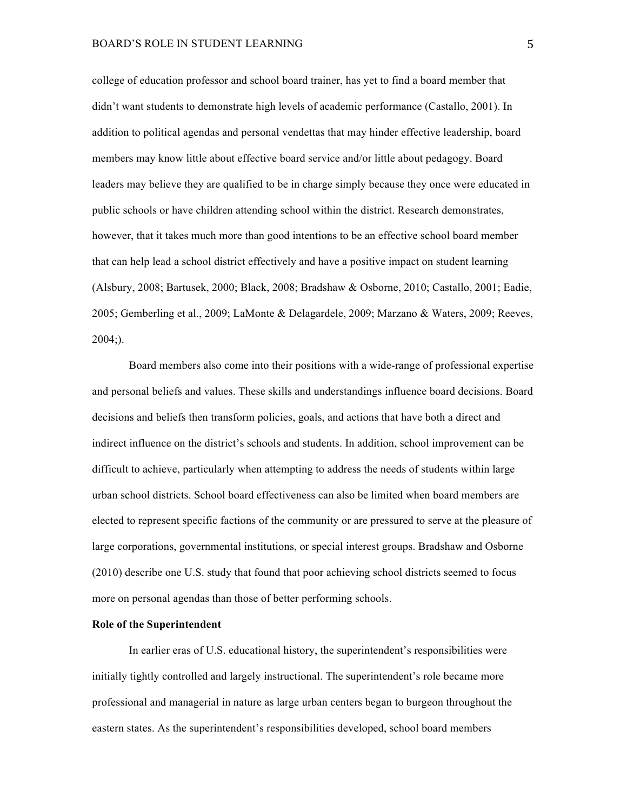college of education professor and school board trainer, has yet to find a board member that didn't want students to demonstrate high levels of academic performance (Castallo, 2001). In addition to political agendas and personal vendettas that may hinder effective leadership, board members may know little about effective board service and/or little about pedagogy. Board leaders may believe they are qualified to be in charge simply because they once were educated in public schools or have children attending school within the district. Research demonstrates, however, that it takes much more than good intentions to be an effective school board member that can help lead a school district effectively and have a positive impact on student learning (Alsbury, 2008; Bartusek, 2000; Black, 2008; Bradshaw & Osborne, 2010; Castallo, 2001; Eadie, 2005; Gemberling et al., 2009; LaMonte & Delagardele, 2009; Marzano & Waters, 2009; Reeves, 2004;).

Board members also come into their positions with a wide-range of professional expertise and personal beliefs and values. These skills and understandings influence board decisions. Board decisions and beliefs then transform policies, goals, and actions that have both a direct and indirect influence on the district's schools and students. In addition, school improvement can be difficult to achieve, particularly when attempting to address the needs of students within large urban school districts. School board effectiveness can also be limited when board members are elected to represent specific factions of the community or are pressured to serve at the pleasure of large corporations, governmental institutions, or special interest groups. Bradshaw and Osborne (2010) describe one U.S. study that found that poor achieving school districts seemed to focus more on personal agendas than those of better performing schools.

### **Role of the Superintendent**

In earlier eras of U.S. educational history, the superintendent's responsibilities were initially tightly controlled and largely instructional. The superintendent's role became more professional and managerial in nature as large urban centers began to burgeon throughout the eastern states. As the superintendent's responsibilities developed, school board members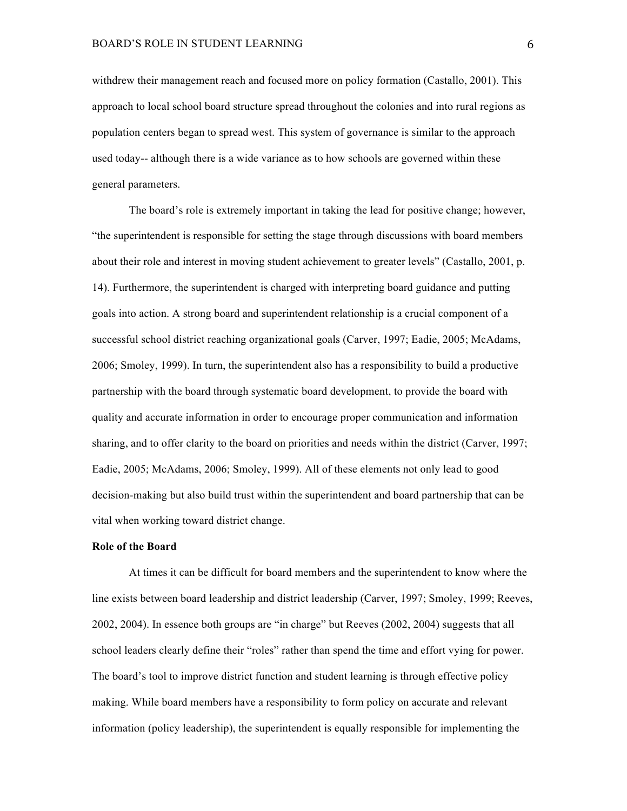withdrew their management reach and focused more on policy formation (Castallo, 2001). This approach to local school board structure spread throughout the colonies and into rural regions as population centers began to spread west. This system of governance is similar to the approach used today-- although there is a wide variance as to how schools are governed within these general parameters.

The board's role is extremely important in taking the lead for positive change; however, "the superintendent is responsible for setting the stage through discussions with board members about their role and interest in moving student achievement to greater levels" (Castallo, 2001, p. 14). Furthermore, the superintendent is charged with interpreting board guidance and putting goals into action. A strong board and superintendent relationship is a crucial component of a successful school district reaching organizational goals (Carver, 1997; Eadie, 2005; McAdams, 2006; Smoley, 1999). In turn, the superintendent also has a responsibility to build a productive partnership with the board through systematic board development, to provide the board with quality and accurate information in order to encourage proper communication and information sharing, and to offer clarity to the board on priorities and needs within the district (Carver, 1997; Eadie, 2005; McAdams, 2006; Smoley, 1999). All of these elements not only lead to good decision-making but also build trust within the superintendent and board partnership that can be vital when working toward district change.

### **Role of the Board**

At times it can be difficult for board members and the superintendent to know where the line exists between board leadership and district leadership (Carver, 1997; Smoley, 1999; Reeves, 2002, 2004). In essence both groups are "in charge" but Reeves (2002, 2004) suggests that all school leaders clearly define their "roles" rather than spend the time and effort vying for power. The board's tool to improve district function and student learning is through effective policy making. While board members have a responsibility to form policy on accurate and relevant information (policy leadership), the superintendent is equally responsible for implementing the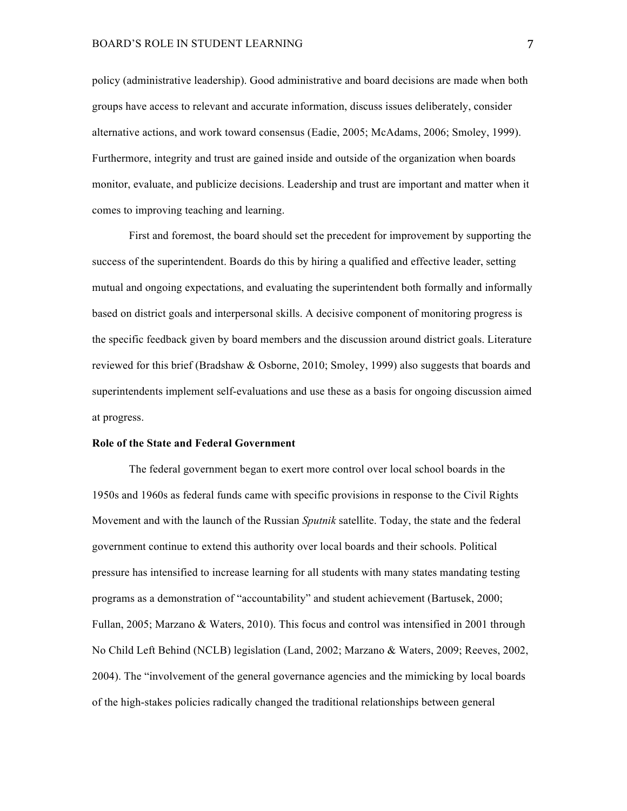policy (administrative leadership). Good administrative and board decisions are made when both groups have access to relevant and accurate information, discuss issues deliberately, consider alternative actions, and work toward consensus (Eadie, 2005; McAdams, 2006; Smoley, 1999). Furthermore, integrity and trust are gained inside and outside of the organization when boards monitor, evaluate, and publicize decisions. Leadership and trust are important and matter when it comes to improving teaching and learning.

First and foremost, the board should set the precedent for improvement by supporting the success of the superintendent. Boards do this by hiring a qualified and effective leader, setting mutual and ongoing expectations, and evaluating the superintendent both formally and informally based on district goals and interpersonal skills. A decisive component of monitoring progress is the specific feedback given by board members and the discussion around district goals. Literature reviewed for this brief (Bradshaw & Osborne, 2010; Smoley, 1999) also suggests that boards and superintendents implement self-evaluations and use these as a basis for ongoing discussion aimed at progress.

### **Role of the State and Federal Government**

The federal government began to exert more control over local school boards in the 1950s and 1960s as federal funds came with specific provisions in response to the Civil Rights Movement and with the launch of the Russian *Sputnik* satellite. Today, the state and the federal government continue to extend this authority over local boards and their schools. Political pressure has intensified to increase learning for all students with many states mandating testing programs as a demonstration of "accountability" and student achievement (Bartusek, 2000; Fullan, 2005; Marzano & Waters, 2010). This focus and control was intensified in 2001 through No Child Left Behind (NCLB) legislation (Land, 2002; Marzano & Waters, 2009; Reeves, 2002, 2004). The "involvement of the general governance agencies and the mimicking by local boards of the high-stakes policies radically changed the traditional relationships between general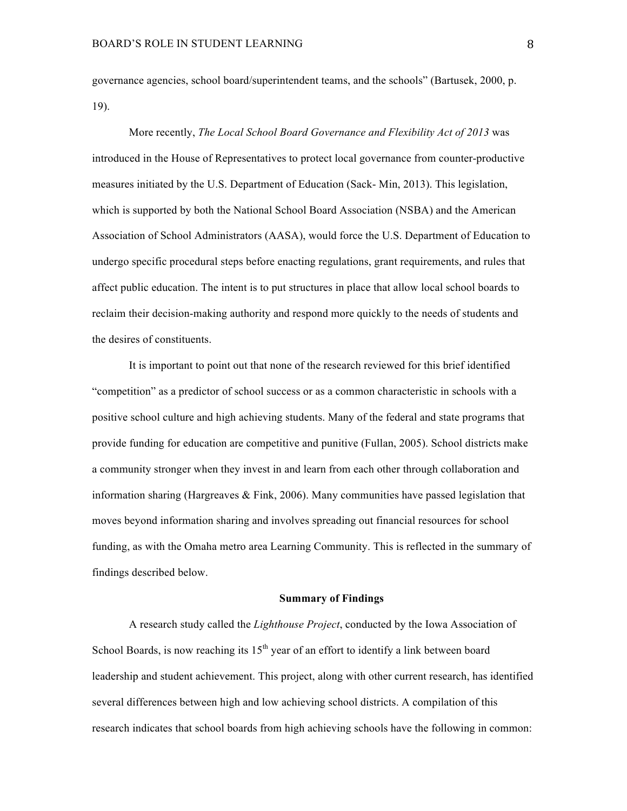governance agencies, school board/superintendent teams, and the schools" (Bartusek, 2000, p. 19).

More recently, *The Local School Board Governance and Flexibility Act of 2013* was introduced in the House of Representatives to protect local governance from counter-productive measures initiated by the U.S. Department of Education (Sack- Min, 2013). This legislation, which is supported by both the National School Board Association (NSBA) and the American Association of School Administrators (AASA), would force the U.S. Department of Education to undergo specific procedural steps before enacting regulations, grant requirements, and rules that affect public education. The intent is to put structures in place that allow local school boards to reclaim their decision-making authority and respond more quickly to the needs of students and the desires of constituents.

It is important to point out that none of the research reviewed for this brief identified "competition" as a predictor of school success or as a common characteristic in schools with a positive school culture and high achieving students. Many of the federal and state programs that provide funding for education are competitive and punitive (Fullan, 2005). School districts make a community stronger when they invest in and learn from each other through collaboration and information sharing (Hargreaves  $&$  Fink, 2006). Many communities have passed legislation that moves beyond information sharing and involves spreading out financial resources for school funding, as with the Omaha metro area Learning Community. This is reflected in the summary of findings described below.

### **Summary of Findings**

A research study called the *Lighthouse Project*, conducted by the Iowa Association of School Boards, is now reaching its  $15<sup>th</sup>$  year of an effort to identify a link between board leadership and student achievement. This project, along with other current research, has identified several differences between high and low achieving school districts. A compilation of this research indicates that school boards from high achieving schools have the following in common: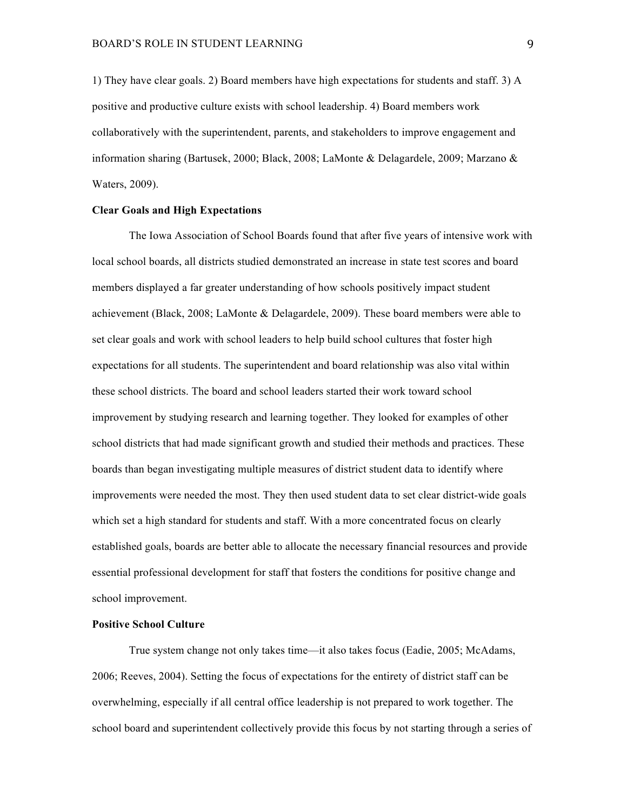1) They have clear goals. 2) Board members have high expectations for students and staff. 3) A positive and productive culture exists with school leadership. 4) Board members work collaboratively with the superintendent, parents, and stakeholders to improve engagement and information sharing (Bartusek, 2000; Black, 2008; LaMonte & Delagardele, 2009; Marzano & Waters, 2009).

### **Clear Goals and High Expectations**

The Iowa Association of School Boards found that after five years of intensive work with local school boards, all districts studied demonstrated an increase in state test scores and board members displayed a far greater understanding of how schools positively impact student achievement (Black, 2008; LaMonte & Delagardele, 2009). These board members were able to set clear goals and work with school leaders to help build school cultures that foster high expectations for all students. The superintendent and board relationship was also vital within these school districts. The board and school leaders started their work toward school improvement by studying research and learning together. They looked for examples of other school districts that had made significant growth and studied their methods and practices. These boards than began investigating multiple measures of district student data to identify where improvements were needed the most. They then used student data to set clear district-wide goals which set a high standard for students and staff. With a more concentrated focus on clearly established goals, boards are better able to allocate the necessary financial resources and provide essential professional development for staff that fosters the conditions for positive change and school improvement.

# **Positive School Culture**

True system change not only takes time—it also takes focus (Eadie, 2005; McAdams, 2006; Reeves, 2004). Setting the focus of expectations for the entirety of district staff can be overwhelming, especially if all central office leadership is not prepared to work together. The school board and superintendent collectively provide this focus by not starting through a series of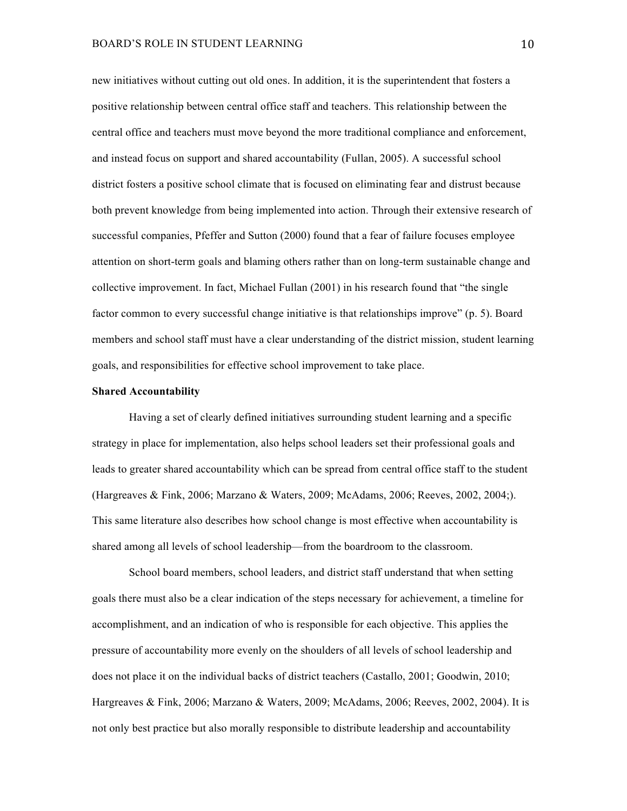new initiatives without cutting out old ones. In addition, it is the superintendent that fosters a positive relationship between central office staff and teachers. This relationship between the central office and teachers must move beyond the more traditional compliance and enforcement, and instead focus on support and shared accountability (Fullan, 2005). A successful school district fosters a positive school climate that is focused on eliminating fear and distrust because both prevent knowledge from being implemented into action. Through their extensive research of successful companies, Pfeffer and Sutton (2000) found that a fear of failure focuses employee attention on short-term goals and blaming others rather than on long-term sustainable change and collective improvement. In fact, Michael Fullan (2001) in his research found that "the single factor common to every successful change initiative is that relationships improve" (p. 5). Board members and school staff must have a clear understanding of the district mission, student learning goals, and responsibilities for effective school improvement to take place.

## **Shared Accountability**

Having a set of clearly defined initiatives surrounding student learning and a specific strategy in place for implementation, also helps school leaders set their professional goals and leads to greater shared accountability which can be spread from central office staff to the student (Hargreaves & Fink, 2006; Marzano & Waters, 2009; McAdams, 2006; Reeves, 2002, 2004;). This same literature also describes how school change is most effective when accountability is shared among all levels of school leadership—from the boardroom to the classroom.

School board members, school leaders, and district staff understand that when setting goals there must also be a clear indication of the steps necessary for achievement, a timeline for accomplishment, and an indication of who is responsible for each objective. This applies the pressure of accountability more evenly on the shoulders of all levels of school leadership and does not place it on the individual backs of district teachers (Castallo, 2001; Goodwin, 2010; Hargreaves & Fink, 2006; Marzano & Waters, 2009; McAdams, 2006; Reeves, 2002, 2004). It is not only best practice but also morally responsible to distribute leadership and accountability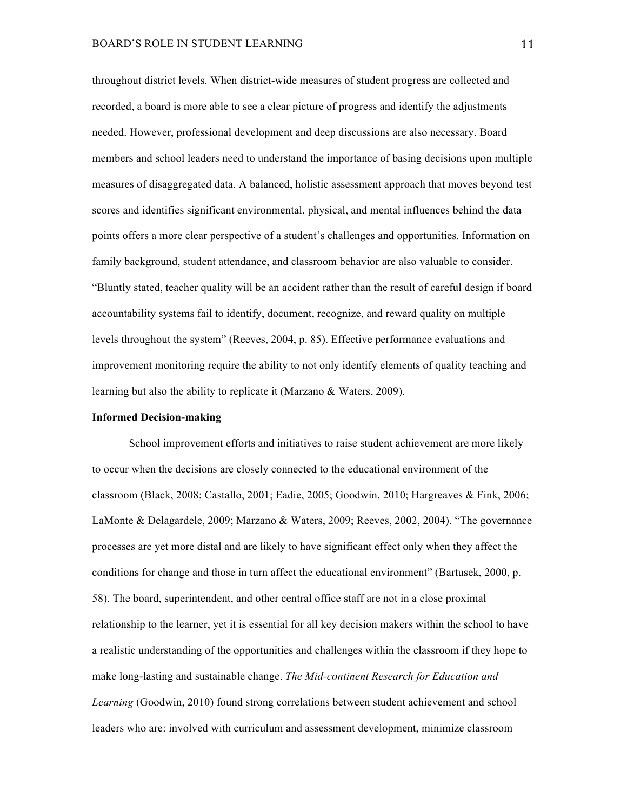throughout district levels. When district-wide measures of student progress are collected and recorded, a board is more able to see a clear picture of progress and identify the adjustments needed. However, professional development and deep discussions are also necessary. Board members and school leaders need to understand the importance of basing decisions upon multiple measures of disaggregated data. A balanced, holistic assessment approach that moves beyond test scores and identifies significant environmental, physical, and mental influences behind the data points offers a more clear perspective of a student's challenges and opportunities. Information on family background, student attendance, and classroom behavior are also valuable to consider. "Bluntly stated, teacher quality will be an accident rather than the result of careful design if board accountability systems fail to identify, document, recognize, and reward quality on multiple levels throughout the system" (Reeves, 2004, p. 85). Effective performance evaluations and improvement monitoring require the ability to not only identify elements of quality teaching and learning but also the ability to replicate it (Marzano & Waters, 2009).

# **Informed Decision-making**

School improvement efforts and initiatives to raise student achievement are more likely to occur when the decisions are closely connected to the educational environment of the classroom (Black, 2008; Castallo, 2001; Eadie, 2005; Goodwin, 2010; Hargreaves & Fink, 2006; LaMonte & Delagardele, 2009; Marzano & Waters, 2009; Reeves, 2002, 2004). "The governance processes are yet more distal and are likely to have significant effect only when they affect the conditions for change and those in turn affect the educational environment" (Bartusek, 2000, p. 58). The board, superintendent, and other central office staff are not in a close proximal relationship to the learner, yet it is essential for all key decision makers within the school to have a realistic understanding of the opportunities and challenges within the classroom if they hope to make long-lasting and sustainable change. *The Mid-continent Research for Education and Learning* (Goodwin, 2010) found strong correlations between student achievement and school leaders who are: involved with curriculum and assessment development, minimize classroom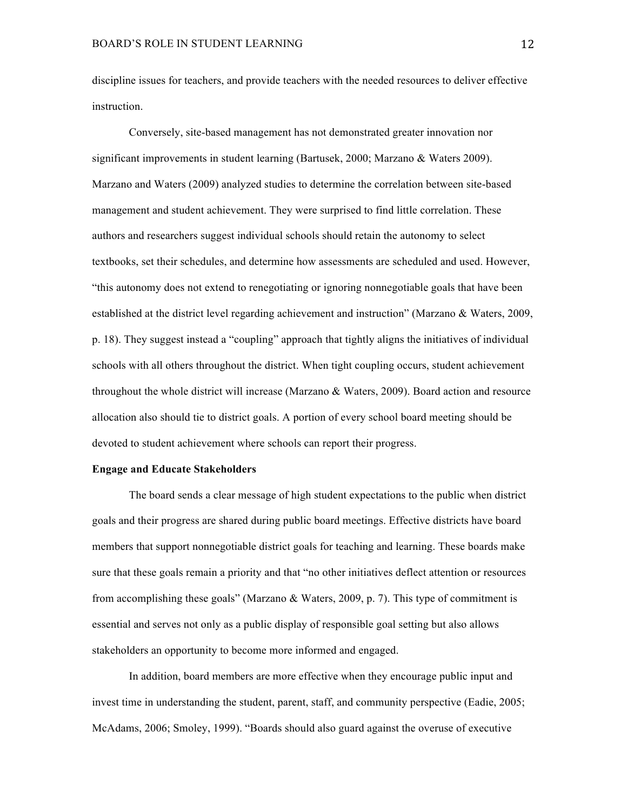discipline issues for teachers, and provide teachers with the needed resources to deliver effective instruction.

Conversely, site-based management has not demonstrated greater innovation nor significant improvements in student learning (Bartusek, 2000; Marzano & Waters 2009). Marzano and Waters (2009) analyzed studies to determine the correlation between site-based management and student achievement. They were surprised to find little correlation. These authors and researchers suggest individual schools should retain the autonomy to select textbooks, set their schedules, and determine how assessments are scheduled and used. However, "this autonomy does not extend to renegotiating or ignoring nonnegotiable goals that have been established at the district level regarding achievement and instruction" (Marzano & Waters, 2009, p. 18). They suggest instead a "coupling" approach that tightly aligns the initiatives of individual schools with all others throughout the district. When tight coupling occurs, student achievement throughout the whole district will increase (Marzano & Waters, 2009). Board action and resource allocation also should tie to district goals. A portion of every school board meeting should be devoted to student achievement where schools can report their progress.

# **Engage and Educate Stakeholders**

The board sends a clear message of high student expectations to the public when district goals and their progress are shared during public board meetings. Effective districts have board members that support nonnegotiable district goals for teaching and learning. These boards make sure that these goals remain a priority and that "no other initiatives deflect attention or resources from accomplishing these goals" (Marzano & Waters, 2009, p. 7). This type of commitment is essential and serves not only as a public display of responsible goal setting but also allows stakeholders an opportunity to become more informed and engaged.

In addition, board members are more effective when they encourage public input and invest time in understanding the student, parent, staff, and community perspective (Eadie, 2005; McAdams, 2006; Smoley, 1999). "Boards should also guard against the overuse of executive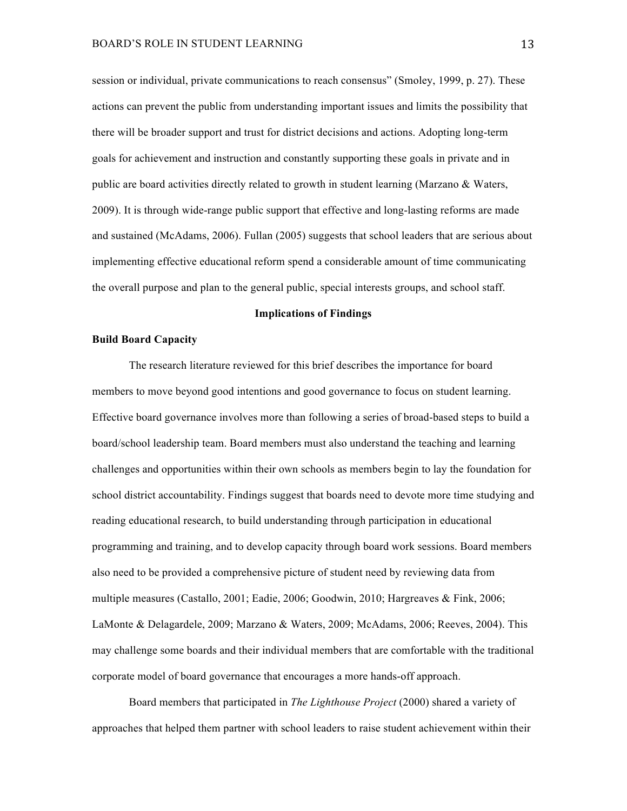session or individual, private communications to reach consensus" (Smoley, 1999, p. 27). These actions can prevent the public from understanding important issues and limits the possibility that there will be broader support and trust for district decisions and actions. Adopting long-term goals for achievement and instruction and constantly supporting these goals in private and in public are board activities directly related to growth in student learning (Marzano & Waters, 2009). It is through wide-range public support that effective and long-lasting reforms are made and sustained (McAdams, 2006). Fullan (2005) suggests that school leaders that are serious about implementing effective educational reform spend a considerable amount of time communicating the overall purpose and plan to the general public, special interests groups, and school staff.

### **Implications of Findings**

## **Build Board Capacity**

The research literature reviewed for this brief describes the importance for board members to move beyond good intentions and good governance to focus on student learning. Effective board governance involves more than following a series of broad-based steps to build a board/school leadership team. Board members must also understand the teaching and learning challenges and opportunities within their own schools as members begin to lay the foundation for school district accountability. Findings suggest that boards need to devote more time studying and reading educational research, to build understanding through participation in educational programming and training, and to develop capacity through board work sessions. Board members also need to be provided a comprehensive picture of student need by reviewing data from multiple measures (Castallo, 2001; Eadie, 2006; Goodwin, 2010; Hargreaves & Fink, 2006; LaMonte & Delagardele, 2009; Marzano & Waters, 2009; McAdams, 2006; Reeves, 2004). This may challenge some boards and their individual members that are comfortable with the traditional corporate model of board governance that encourages a more hands-off approach.

Board members that participated in *The Lighthouse Project* (2000) shared a variety of approaches that helped them partner with school leaders to raise student achievement within their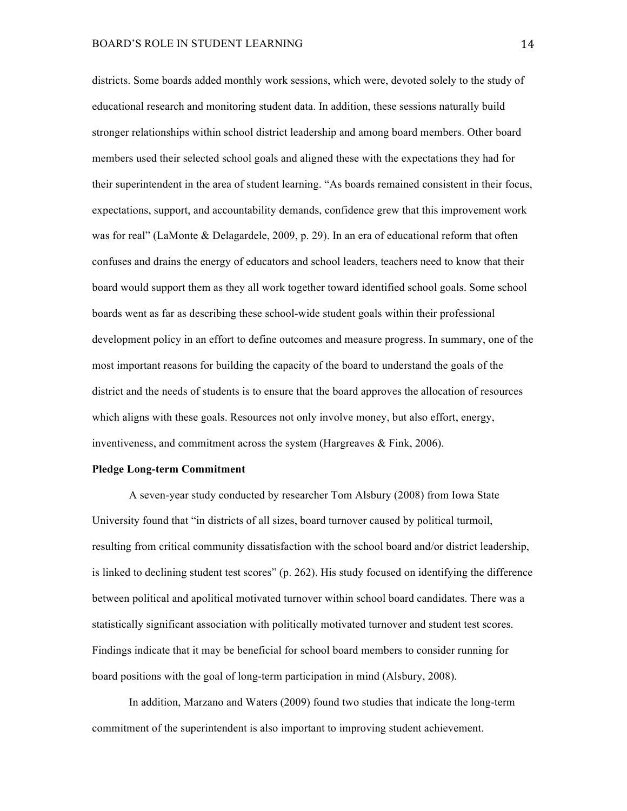districts. Some boards added monthly work sessions, which were, devoted solely to the study of educational research and monitoring student data. In addition, these sessions naturally build stronger relationships within school district leadership and among board members. Other board members used their selected school goals and aligned these with the expectations they had for their superintendent in the area of student learning. "As boards remained consistent in their focus, expectations, support, and accountability demands, confidence grew that this improvement work was for real" (LaMonte & Delagardele, 2009, p. 29). In an era of educational reform that often confuses and drains the energy of educators and school leaders, teachers need to know that their board would support them as they all work together toward identified school goals. Some school boards went as far as describing these school-wide student goals within their professional development policy in an effort to define outcomes and measure progress. In summary, one of the most important reasons for building the capacity of the board to understand the goals of the district and the needs of students is to ensure that the board approves the allocation of resources which aligns with these goals. Resources not only involve money, but also effort, energy, inventiveness, and commitment across the system (Hargreaves & Fink, 2006).

### **Pledge Long-term Commitment**

A seven-year study conducted by researcher Tom Alsbury (2008) from Iowa State University found that "in districts of all sizes, board turnover caused by political turmoil, resulting from critical community dissatisfaction with the school board and/or district leadership, is linked to declining student test scores" (p. 262). His study focused on identifying the difference between political and apolitical motivated turnover within school board candidates. There was a statistically significant association with politically motivated turnover and student test scores. Findings indicate that it may be beneficial for school board members to consider running for board positions with the goal of long-term participation in mind (Alsbury, 2008).

In addition, Marzano and Waters (2009) found two studies that indicate the long-term commitment of the superintendent is also important to improving student achievement.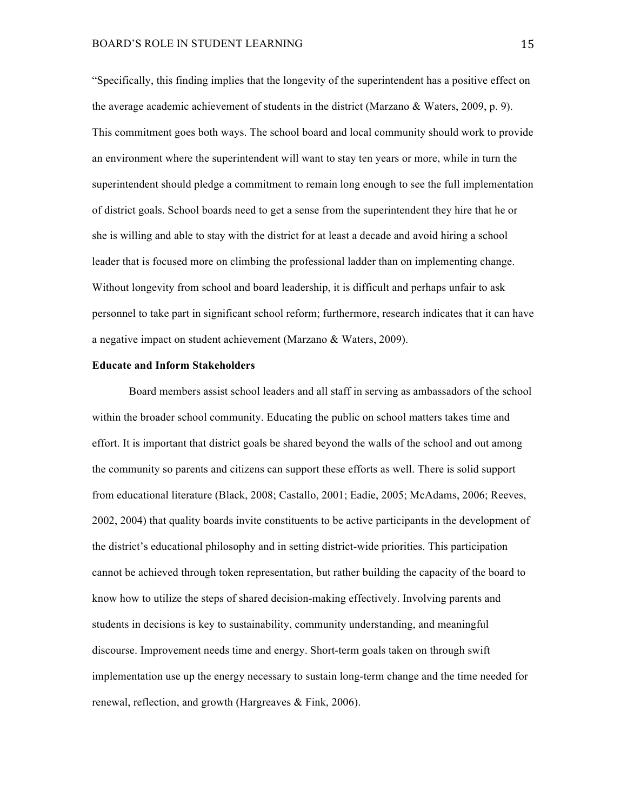"Specifically, this finding implies that the longevity of the superintendent has a positive effect on the average academic achievement of students in the district (Marzano  $\&$  Waters, 2009, p. 9). This commitment goes both ways. The school board and local community should work to provide an environment where the superintendent will want to stay ten years or more, while in turn the superintendent should pledge a commitment to remain long enough to see the full implementation of district goals. School boards need to get a sense from the superintendent they hire that he or she is willing and able to stay with the district for at least a decade and avoid hiring a school leader that is focused more on climbing the professional ladder than on implementing change. Without longevity from school and board leadership, it is difficult and perhaps unfair to ask personnel to take part in significant school reform; furthermore, research indicates that it can have a negative impact on student achievement (Marzano & Waters, 2009).

#### **Educate and Inform Stakeholders**

Board members assist school leaders and all staff in serving as ambassadors of the school within the broader school community. Educating the public on school matters takes time and effort. It is important that district goals be shared beyond the walls of the school and out among the community so parents and citizens can support these efforts as well. There is solid support from educational literature (Black, 2008; Castallo, 2001; Eadie, 2005; McAdams, 2006; Reeves, 2002, 2004) that quality boards invite constituents to be active participants in the development of the district's educational philosophy and in setting district-wide priorities. This participation cannot be achieved through token representation, but rather building the capacity of the board to know how to utilize the steps of shared decision-making effectively. Involving parents and students in decisions is key to sustainability, community understanding, and meaningful discourse. Improvement needs time and energy. Short-term goals taken on through swift implementation use up the energy necessary to sustain long-term change and the time needed for renewal, reflection, and growth (Hargreaves & Fink, 2006).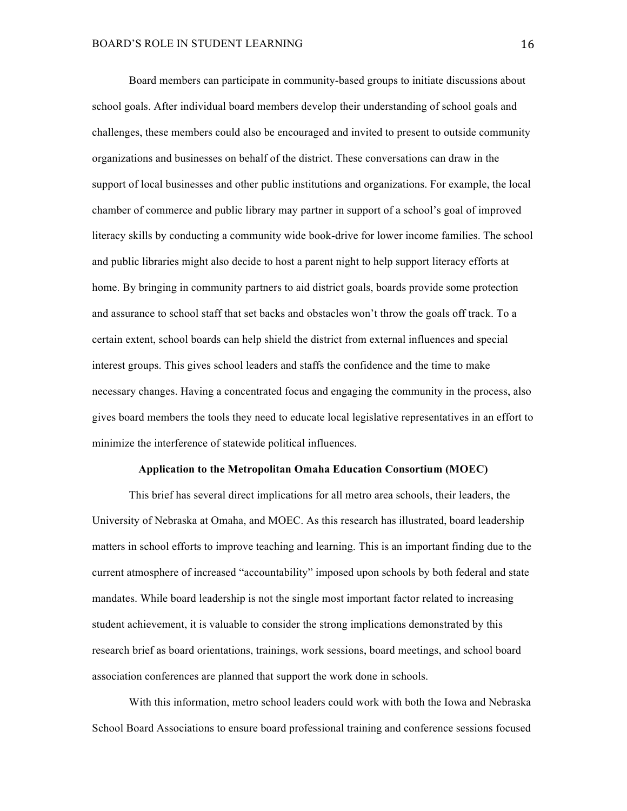Board members can participate in community-based groups to initiate discussions about school goals. After individual board members develop their understanding of school goals and challenges, these members could also be encouraged and invited to present to outside community organizations and businesses on behalf of the district. These conversations can draw in the support of local businesses and other public institutions and organizations. For example, the local chamber of commerce and public library may partner in support of a school's goal of improved literacy skills by conducting a community wide book-drive for lower income families. The school and public libraries might also decide to host a parent night to help support literacy efforts at home. By bringing in community partners to aid district goals, boards provide some protection and assurance to school staff that set backs and obstacles won't throw the goals off track. To a certain extent, school boards can help shield the district from external influences and special interest groups. This gives school leaders and staffs the confidence and the time to make necessary changes. Having a concentrated focus and engaging the community in the process, also gives board members the tools they need to educate local legislative representatives in an effort to minimize the interference of statewide political influences.

### **Application to the Metropolitan Omaha Education Consortium (MOEC)**

This brief has several direct implications for all metro area schools, their leaders, the University of Nebraska at Omaha, and MOEC. As this research has illustrated, board leadership matters in school efforts to improve teaching and learning. This is an important finding due to the current atmosphere of increased "accountability" imposed upon schools by both federal and state mandates. While board leadership is not the single most important factor related to increasing student achievement, it is valuable to consider the strong implications demonstrated by this research brief as board orientations, trainings, work sessions, board meetings, and school board association conferences are planned that support the work done in schools.

With this information, metro school leaders could work with both the Iowa and Nebraska School Board Associations to ensure board professional training and conference sessions focused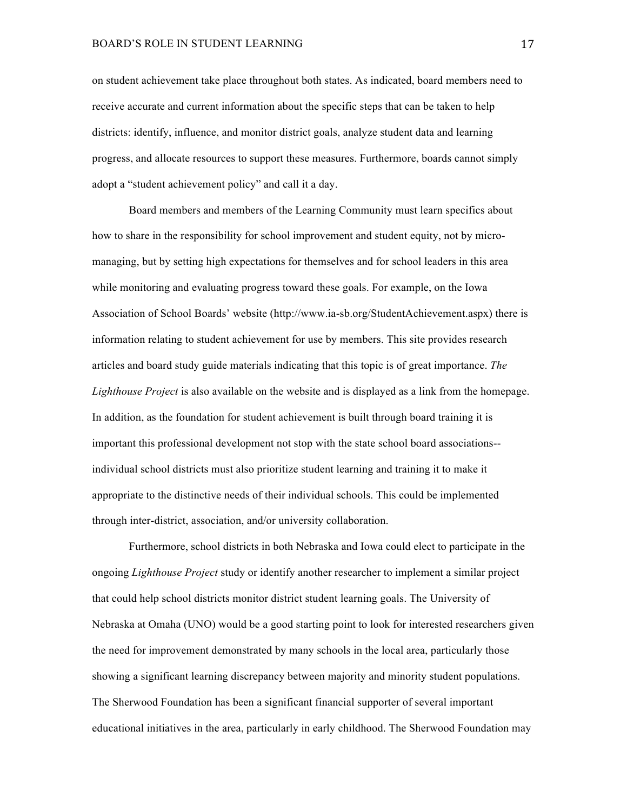on student achievement take place throughout both states. As indicated, board members need to receive accurate and current information about the specific steps that can be taken to help districts: identify, influence, and monitor district goals, analyze student data and learning progress, and allocate resources to support these measures. Furthermore, boards cannot simply adopt a "student achievement policy" and call it a day.

Board members and members of the Learning Community must learn specifics about how to share in the responsibility for school improvement and student equity, not by micromanaging, but by setting high expectations for themselves and for school leaders in this area while monitoring and evaluating progress toward these goals. For example, on the Iowa Association of School Boards' website (http://www.ia-sb.org/StudentAchievement.aspx) there is information relating to student achievement for use by members. This site provides research articles and board study guide materials indicating that this topic is of great importance. *The Lighthouse Project* is also available on the website and is displayed as a link from the homepage. In addition, as the foundation for student achievement is built through board training it is important this professional development not stop with the state school board associations- individual school districts must also prioritize student learning and training it to make it appropriate to the distinctive needs of their individual schools. This could be implemented through inter-district, association, and/or university collaboration.

Furthermore, school districts in both Nebraska and Iowa could elect to participate in the ongoing *Lighthouse Project* study or identify another researcher to implement a similar project that could help school districts monitor district student learning goals. The University of Nebraska at Omaha (UNO) would be a good starting point to look for interested researchers given the need for improvement demonstrated by many schools in the local area, particularly those showing a significant learning discrepancy between majority and minority student populations. The Sherwood Foundation has been a significant financial supporter of several important educational initiatives in the area, particularly in early childhood. The Sherwood Foundation may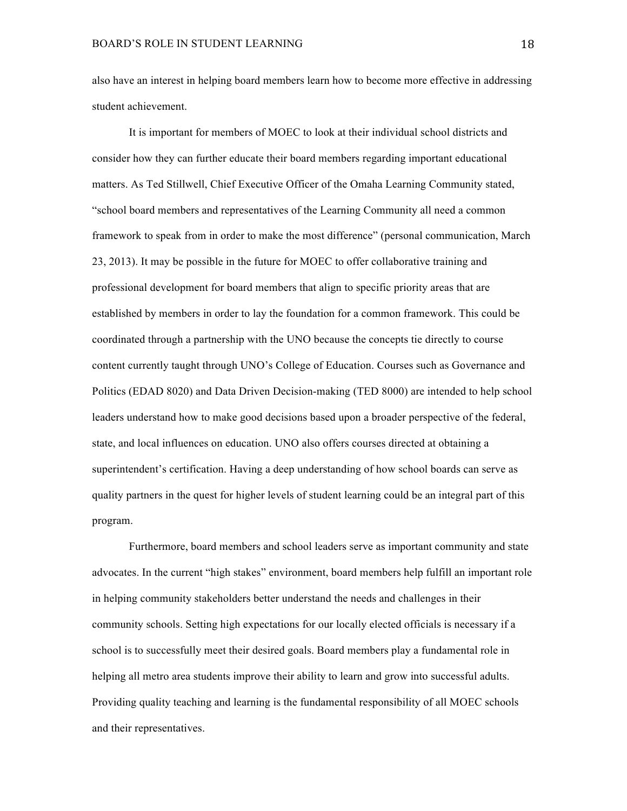also have an interest in helping board members learn how to become more effective in addressing student achievement.

It is important for members of MOEC to look at their individual school districts and consider how they can further educate their board members regarding important educational matters. As Ted Stillwell, Chief Executive Officer of the Omaha Learning Community stated, "school board members and representatives of the Learning Community all need a common framework to speak from in order to make the most difference" (personal communication, March 23, 2013). It may be possible in the future for MOEC to offer collaborative training and professional development for board members that align to specific priority areas that are established by members in order to lay the foundation for a common framework. This could be coordinated through a partnership with the UNO because the concepts tie directly to course content currently taught through UNO's College of Education. Courses such as Governance and Politics (EDAD 8020) and Data Driven Decision-making (TED 8000) are intended to help school leaders understand how to make good decisions based upon a broader perspective of the federal, state, and local influences on education. UNO also offers courses directed at obtaining a superintendent's certification. Having a deep understanding of how school boards can serve as quality partners in the quest for higher levels of student learning could be an integral part of this program.

Furthermore, board members and school leaders serve as important community and state advocates. In the current "high stakes" environment, board members help fulfill an important role in helping community stakeholders better understand the needs and challenges in their community schools. Setting high expectations for our locally elected officials is necessary if a school is to successfully meet their desired goals. Board members play a fundamental role in helping all metro area students improve their ability to learn and grow into successful adults. Providing quality teaching and learning is the fundamental responsibility of all MOEC schools and their representatives.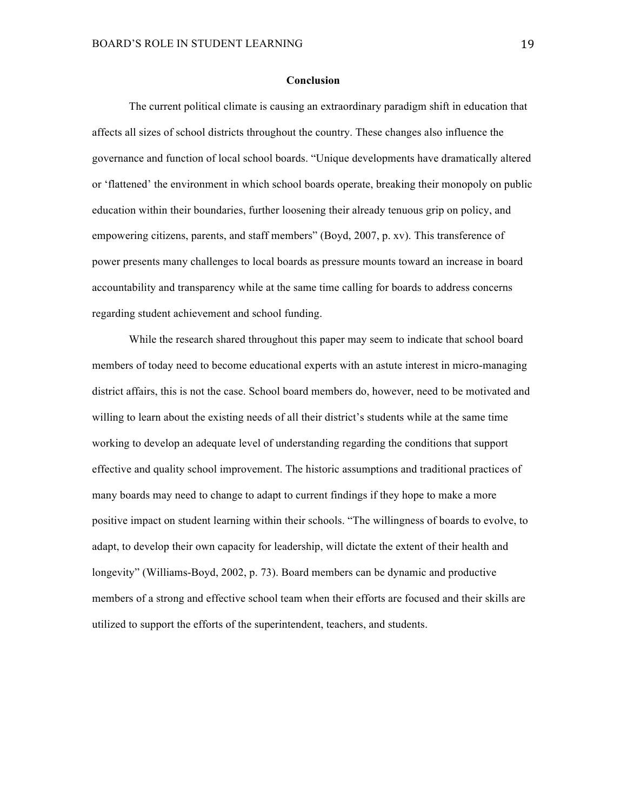#### **Conclusion**

The current political climate is causing an extraordinary paradigm shift in education that affects all sizes of school districts throughout the country. These changes also influence the governance and function of local school boards. "Unique developments have dramatically altered or 'flattened' the environment in which school boards operate, breaking their monopoly on public education within their boundaries, further loosening their already tenuous grip on policy, and empowering citizens, parents, and staff members" (Boyd, 2007, p. xv). This transference of power presents many challenges to local boards as pressure mounts toward an increase in board accountability and transparency while at the same time calling for boards to address concerns regarding student achievement and school funding.

While the research shared throughout this paper may seem to indicate that school board members of today need to become educational experts with an astute interest in micro-managing district affairs, this is not the case. School board members do, however, need to be motivated and willing to learn about the existing needs of all their district's students while at the same time working to develop an adequate level of understanding regarding the conditions that support effective and quality school improvement. The historic assumptions and traditional practices of many boards may need to change to adapt to current findings if they hope to make a more positive impact on student learning within their schools. "The willingness of boards to evolve, to adapt, to develop their own capacity for leadership, will dictate the extent of their health and longevity" (Williams-Boyd, 2002, p. 73). Board members can be dynamic and productive members of a strong and effective school team when their efforts are focused and their skills are utilized to support the efforts of the superintendent, teachers, and students.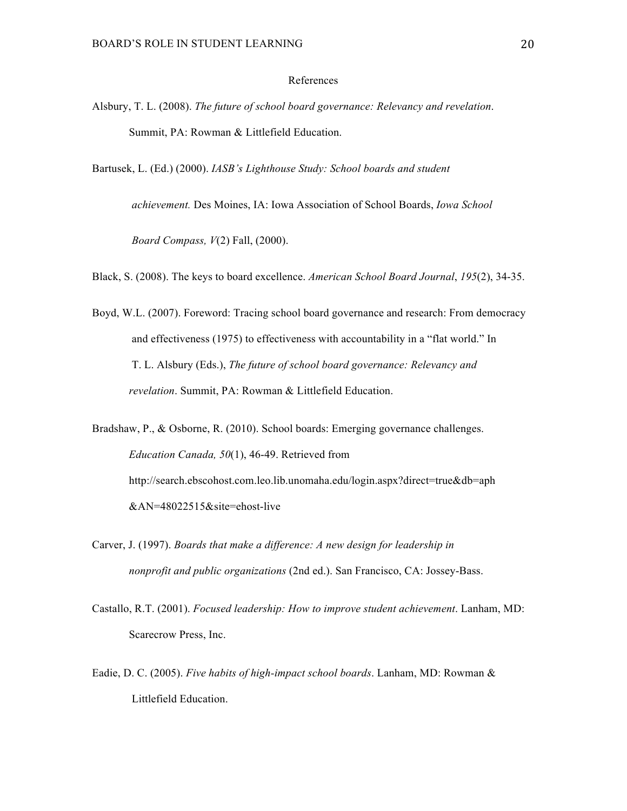# References

- Alsbury, T. L. (2008). *The future of school board governance: Relevancy and revelation*. Summit, PA: Rowman & Littlefield Education.
- Bartusek, L. (Ed.) (2000). *IASB's Lighthouse Study: School boards and student*

*achievement.* Des Moines, IA: Iowa Association of School Boards, *Iowa School*

*Board Compass, V*(2) Fall, (2000).

Black, S. (2008). The keys to board excellence. *American School Board Journal*, *195*(2), 34-35.

Boyd, W.L. (2007). Foreword: Tracing school board governance and research: From democracy and effectiveness (1975) to effectiveness with accountability in a "flat world." In T. L. Alsbury (Eds.), *The future of school board governance: Relevancy and revelation*. Summit, PA: Rowman & Littlefield Education.

Bradshaw, P., & Osborne, R. (2010). School boards: Emerging governance challenges. *Education Canada, 50*(1), 46-49. Retrieved from http://search.ebscohost.com.leo.lib.unomaha.edu/login.aspx?direct=true&db=aph &AN=48022515&site=ehost-live

- Carver, J. (1997). *Boards that make a difference: A new design for leadership in nonprofit and public organizations* (2nd ed.). San Francisco, CA: Jossey-Bass.
- Castallo, R.T. (2001). *Focused leadership: How to improve student achievement*. Lanham, MD: Scarecrow Press, Inc.
- Eadie, D. C. (2005). *Five habits of high-impact school boards*. Lanham, MD: Rowman & Littlefield Education.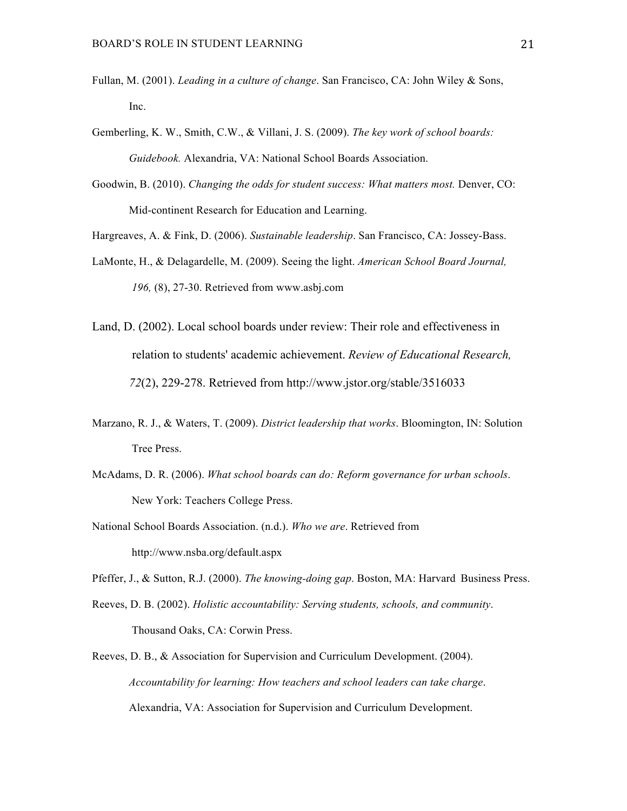- Fullan, M. (2001). *Leading in a culture of change*. San Francisco, CA: John Wiley & Sons, Inc.
- Gemberling, K. W., Smith, C.W., & Villani, J. S. (2009). *The key work of school boards: Guidebook.* Alexandria, VA: National School Boards Association.
- Goodwin, B. (2010). *Changing the odds for student success: What matters most.* Denver, CO: Mid-continent Research for Education and Learning.
- Hargreaves, A. & Fink, D. (2006). *Sustainable leadership*. San Francisco, CA: Jossey-Bass.
- LaMonte, H., & Delagardelle, M. (2009). Seeing the light. *American School Board Journal, 196,* (8), 27-30. Retrieved from www.asbj.com
- Land, D. (2002). Local school boards under review: Their role and effectiveness in relation to students' academic achievement. *Review of Educational Research, 72*(2), 229-278. Retrieved from http://www.jstor.org/stable/3516033
- Marzano, R. J., & Waters, T. (2009). *District leadership that works*. Bloomington, IN: Solution Tree Press.
- McAdams, D. R. (2006). *What school boards can do: Reform governance for urban schools*. New York: Teachers College Press.
- National School Boards Association. (n.d.). *Who we are*. Retrieved from http://www.nsba.org/default.aspx
- Pfeffer, J., & Sutton, R.J. (2000). *The knowing-doing gap*. Boston, MA: Harvard Business Press.
- Reeves, D. B. (2002). *Holistic accountability: Serving students, schools, and community*. Thousand Oaks, CA: Corwin Press.
- Reeves, D. B., & Association for Supervision and Curriculum Development. (2004). *Accountability for learning: How teachers and school leaders can take charge*. Alexandria, VA: Association for Supervision and Curriculum Development.